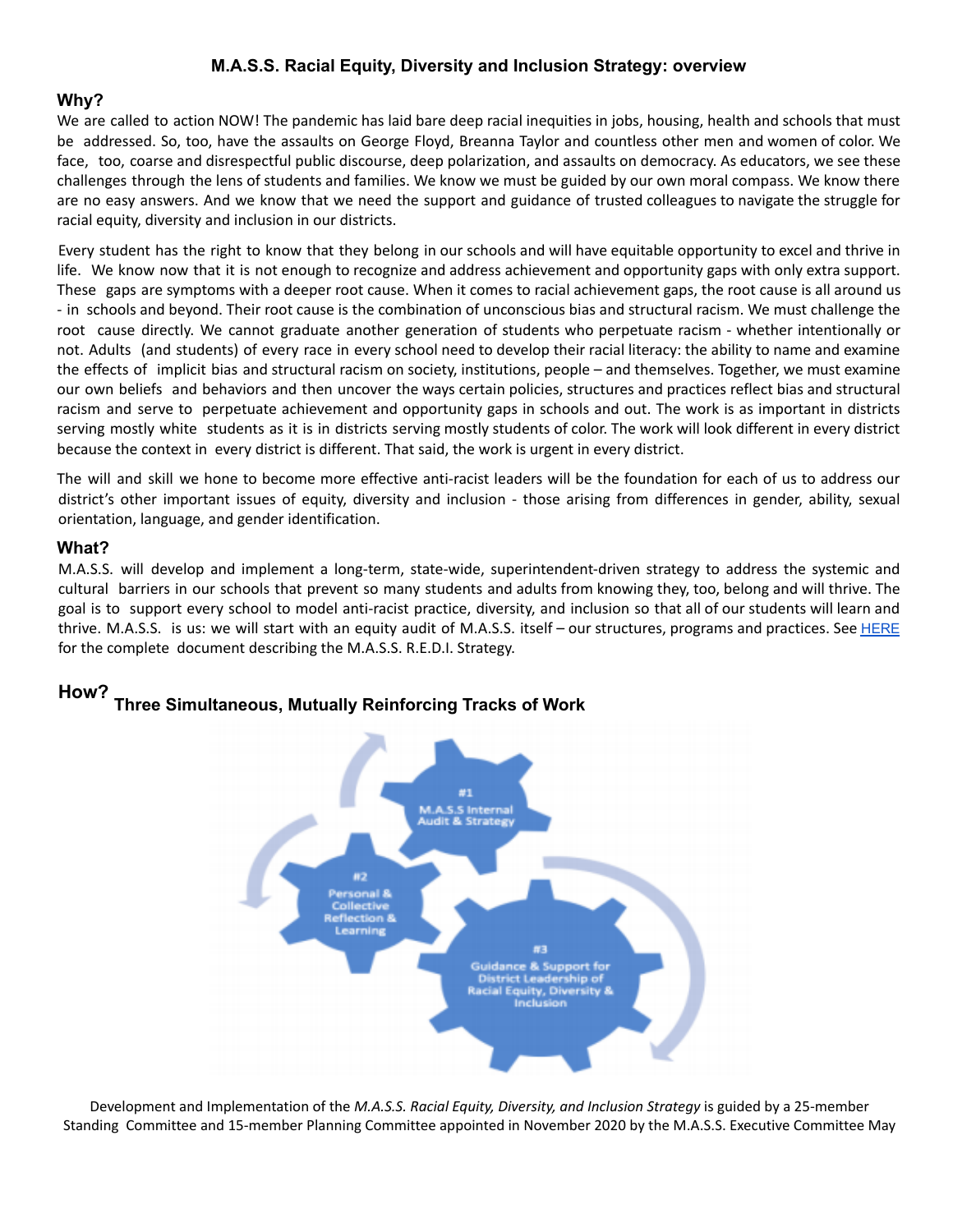### **M.A.S.S. Racial Equity, Diversity and Inclusion Strategy: overview**

### **Why?**

We are called to action NOW! The pandemic has laid bare deep racial inequities in jobs, housing, health and schools that must be addressed. So, too, have the assaults on George Floyd, Breanna Taylor and countless other men and women of color. We face, too, coarse and disrespectful public discourse, deep polarization, and assaults on democracy. As educators, we see these challenges through the lens of students and families. We know we must be guided by our own moral compass. We know there are no easy answers. And we know that we need the support and guidance of trusted colleagues to navigate the struggle for racial equity, diversity and inclusion in our districts.

Every student has the right to know that they belong in our schools and will have equitable opportunity to excel and thrive in life. We know now that it is not enough to recognize and address achievement and opportunity gaps with only extra support. These gaps are symptoms with a deeper root cause. When it comes to racial achievement gaps, the root cause is all around us - in schools and beyond. Their root cause is the combination of unconscious bias and structural racism. We must challenge the root cause directly. We cannot graduate another generation of students who perpetuate racism - whether intentionally or not. Adults (and students) of every race in every school need to develop their racial literacy: the ability to name and examine the effects of implicit bias and structural racism on society, institutions, people – and themselves. Together, we must examine our own beliefs and behaviors and then uncover the ways certain policies, structures and practices reflect bias and structural racism and serve to perpetuate achievement and opportunity gaps in schools and out. The work is as important in districts serving mostly white students as it is in districts serving mostly students of color. The work will look different in every district because the context in every district is different. That said, the work is urgent in every district.

The will and skill we hone to become more effective anti-racist leaders will be the foundation for each of us to address our district's other important issues of equity, diversity and inclusion - those arising from differences in gender, ability, sexual orientation, language, and gender identification.

### **What?**

M.A.S.S. will develop and implement a long-term, state-wide, superintendent-driven strategy to address the systemic and cultural barriers in our schools that prevent so many students and adults from knowing they, too, belong and will thrive. The goal is to support every school to model anti-racist practice, diversity, and inclusion so that all of our students will learn and thrive. M.A.S.S. is us: we will start with an equity audit of M.A.S.S. itself – our structures, programs and practices. See [HERE](https://docs.google.com/document/d/1V3YImiMVNsG-Ldedt4QHLzi-HYz5jJBUbvm8oNCKBks/edit?usp=sharing) for the complete document describing the M.A.S.S. R.E.D.I. Strategy.



# **How? Three Simultaneous, Mutually Reinforcing Tracks of Work**

Development and Implementation of the *M.A.S.S. Racial Equity, Diversity, and Inclusion Strategy* is guided by a 25-member Standing Committee and 15-member Planning Committee appointed in November 2020 by the M.A.S.S. Executive Committee May